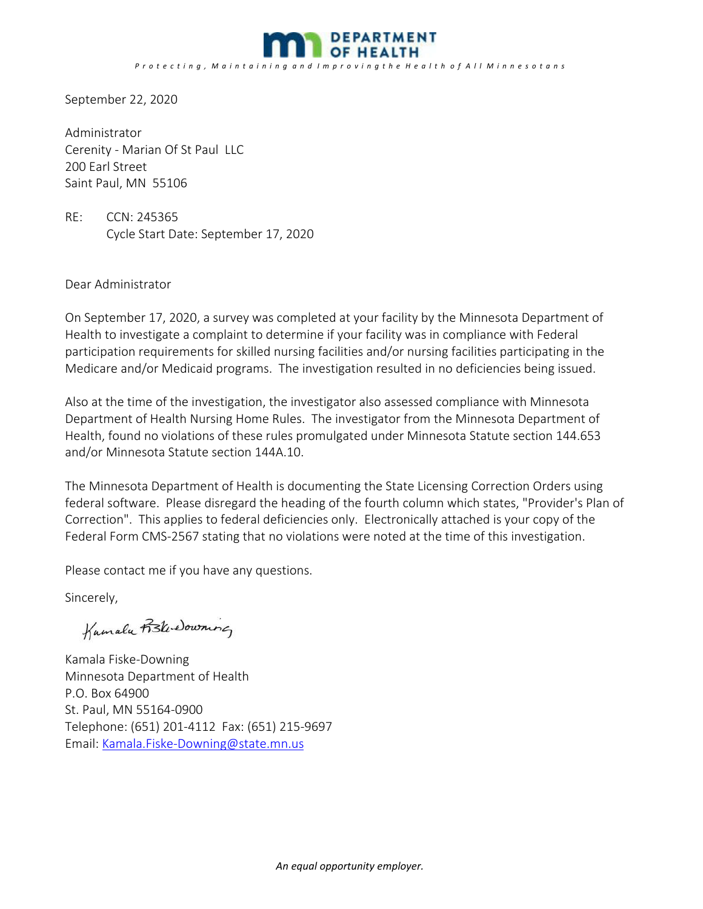

September 22, 2020

Administrator Cerenity ‐ Marian Of St Paul LLC 200 Earl Street Saint Paul, MN 55106

RE: CCN: 245365 Cycle Start Date: September 17, 2020

Dear Administrator

On September 17, 2020, a survey was completed at your facility by the Minnesota Department of Health to investigate a complaint to determine if your facility was in compliance with Federal participation requirements for skilled nursing facilities and/or nursing facilities participating in the Medicare and/or Medicaid programs. The investigation resulted in no deficiencies being issued.

Also at the time of the investigation, the investigator also assessed compliance with Minnesota Department of Health Nursing Home Rules. The investigator from the Minnesota Department of Health, found no violations of these rules promulgated under Minnesota Statute section 144.653 and/or Minnesota Statute section 144A.10.

The Minnesota Department of Health is documenting the State Licensing Correction Orders using federal software. Please disregard the heading of the fourth column which states, "Provider's Plan of Correction". This applies to federal deficiencies only. Electronically attached is your copy of the Federal Form CMS‐2567 stating that no violations were noted at the time of this investigation.

Please contact me if you have any questions.

Sincerely,

 $\overline{u}$ 

Kamala Fiske‐Downing Minnesota Department of Health P.O. Box 64900 St. Paul, MN 55164‐0900 Telephone: (651) 201‐4112 Fax: (651) 215‐9697 Email: Kamala.Fiske‐Downing@state.mn.us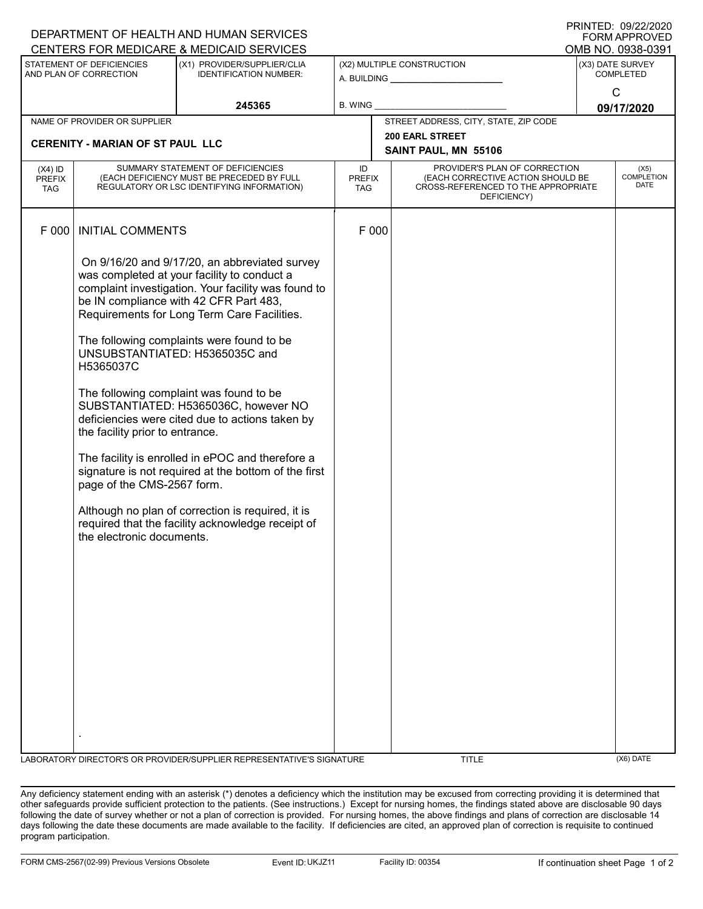|                                                     |                                                                                                         | DEPARTMENT OF HEALTH AND HUMAN SERVICES                                                                                                                                                                                                                                                                                                                                                                                                                                                                                                                                                                                                                                                 |                                              |       |                                                                                                                          |                 | $1$ $1111$ $111$ $12$ $121$ $2120$<br><b>FORM APPROVED</b> |
|-----------------------------------------------------|---------------------------------------------------------------------------------------------------------|-----------------------------------------------------------------------------------------------------------------------------------------------------------------------------------------------------------------------------------------------------------------------------------------------------------------------------------------------------------------------------------------------------------------------------------------------------------------------------------------------------------------------------------------------------------------------------------------------------------------------------------------------------------------------------------------|----------------------------------------------|-------|--------------------------------------------------------------------------------------------------------------------------|-----------------|------------------------------------------------------------|
|                                                     |                                                                                                         | CENTERS FOR MEDICARE & MEDICAID SERVICES                                                                                                                                                                                                                                                                                                                                                                                                                                                                                                                                                                                                                                                |                                              |       |                                                                                                                          |                 | OMB NO. 0938-0391                                          |
| STATEMENT OF DEFICIENCIES<br>AND PLAN OF CORRECTION |                                                                                                         | (X1) PROVIDER/SUPPLIER/CLIA<br><b>IDENTIFICATION NUMBER:</b>                                                                                                                                                                                                                                                                                                                                                                                                                                                                                                                                                                                                                            | (X2) MULTIPLE CONSTRUCTION<br>A. BUILDING A. |       | (X3) DATE SURVEY<br><b>COMPLETED</b>                                                                                     |                 |                                                            |
|                                                     |                                                                                                         | 245365                                                                                                                                                                                                                                                                                                                                                                                                                                                                                                                                                                                                                                                                                  | <b>B. WING</b>                               |       |                                                                                                                          | C<br>09/17/2020 |                                                            |
|                                                     | NAME OF PROVIDER OR SUPPLIER                                                                            |                                                                                                                                                                                                                                                                                                                                                                                                                                                                                                                                                                                                                                                                                         |                                              |       | STREET ADDRESS, CITY, STATE, ZIP CODE                                                                                    |                 |                                                            |
|                                                     | <b>CERENITY - MARIAN OF ST PAUL LLC</b>                                                                 |                                                                                                                                                                                                                                                                                                                                                                                                                                                                                                                                                                                                                                                                                         |                                              |       | <b>200 EARL STREET</b><br>SAINT PAUL, MN 55106                                                                           |                 |                                                            |
| $(X4)$ ID<br><b>PREFIX</b><br><b>TAG</b>            |                                                                                                         | SUMMARY STATEMENT OF DEFICIENCIES<br>(EACH DEFICIENCY MUST BE PRECEDED BY FULL<br>REGULATORY OR LSC IDENTIFYING INFORMATION)                                                                                                                                                                                                                                                                                                                                                                                                                                                                                                                                                            | ID<br><b>PREFIX</b><br><b>TAG</b>            |       | PROVIDER'S PLAN OF CORRECTION<br>(EACH CORRECTIVE ACTION SHOULD BE<br>CROSS-REFERENCED TO THE APPROPRIATE<br>DEFICIENCY) |                 | (X5)<br><b>COMPLETION</b><br><b>DATE</b>                   |
| F 000                                               | <b>INITIAL COMMENTS</b>                                                                                 |                                                                                                                                                                                                                                                                                                                                                                                                                                                                                                                                                                                                                                                                                         |                                              | F 000 |                                                                                                                          |                 |                                                            |
|                                                     | H5365037C<br>the facility prior to entrance.<br>page of the CMS-2567 form.<br>the electronic documents. | On 9/16/20 and 9/17/20, an abbreviated survey<br>was completed at your facility to conduct a<br>complaint investigation. Your facility was found to<br>be IN compliance with 42 CFR Part 483,<br>Requirements for Long Term Care Facilities.<br>The following complaints were found to be<br>UNSUBSTANTIATED: H5365035C and<br>The following complaint was found to be<br>SUBSTANTIATED: H5365036C, however NO<br>deficiencies were cited due to actions taken by<br>The facility is enrolled in ePOC and therefore a<br>signature is not required at the bottom of the first<br>Although no plan of correction is required, it is<br>required that the facility acknowledge receipt of |                                              |       |                                                                                                                          |                 |                                                            |
|                                                     |                                                                                                         |                                                                                                                                                                                                                                                                                                                                                                                                                                                                                                                                                                                                                                                                                         |                                              |       |                                                                                                                          |                 |                                                            |
|                                                     |                                                                                                         | LABORATORY DIRECTOR'S OR PROVIDER/SUPPLIER REPRESENTATIVE'S SIGNATURE                                                                                                                                                                                                                                                                                                                                                                                                                                                                                                                                                                                                                   |                                              |       | <b>TITLE</b>                                                                                                             |                 | $(X6)$ DATE                                                |

Any deficiency statement ending with an asterisk (\*) denotes a deficiency which the institution may be excused from correcting providing it is determined that other safeguards provide sufficient protection to the patients. (See instructions.) Except for nursing homes, the findings stated above are disclosable 90 days following the date of survey whether or not a plan of correction is provided. For nursing homes, the above findings and plans of correction are disclosable 14 days following the date these documents are made available to the facility. If deficiencies are cited, an approved plan of correction is requisite to continued program participation.

PRINTED: 09/22/2020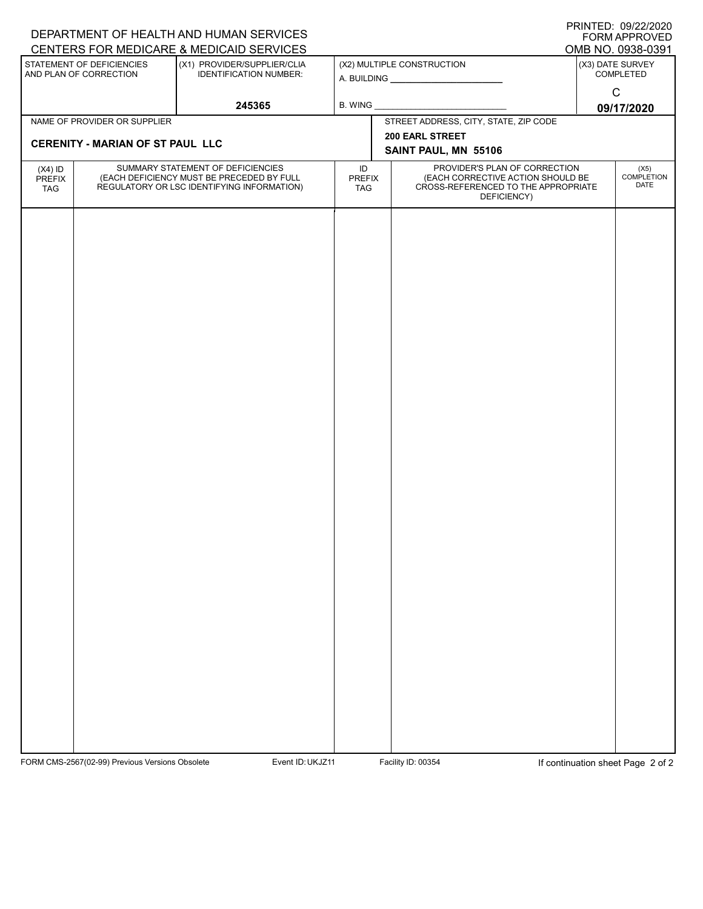| PRINTED: 09/22/2020<br>DEPARTMENT OF HEALTH AND HUMAN SERVICES<br><b>FORM APPROVED</b><br>CENTERS FOR MEDICARE & MEDICAID SERVICES<br>OMB NO. 0938-0391 |                                                                                                                              |           |                                                                                                                                    |                           |                               |  |  |
|---------------------------------------------------------------------------------------------------------------------------------------------------------|------------------------------------------------------------------------------------------------------------------------------|-----------|------------------------------------------------------------------------------------------------------------------------------------|---------------------------|-------------------------------|--|--|
| STATEMENT OF DEFICIENCIES<br>AND PLAN OF CORRECTION                                                                                                     | (X1) PROVIDER/SUPPLIER/CLIA<br><b>IDENTIFICATION NUMBER:</b>                                                                 |           | (X2) MULTIPLE CONSTRUCTION                                                                                                         |                           | (X3) DATE SURVEY<br>COMPLETED |  |  |
|                                                                                                                                                         | 245365                                                                                                                       |           |                                                                                                                                    | $\mathbf C$<br>09/17/2020 |                               |  |  |
| NAME OF PROVIDER OR SUPPLIER                                                                                                                            |                                                                                                                              |           | STREET ADDRESS, CITY, STATE, ZIP CODE                                                                                              |                           |                               |  |  |
| <b>CERENITY - MARIAN OF ST PAUL LLC</b>                                                                                                                 |                                                                                                                              |           | 200 EARL STREET                                                                                                                    |                           |                               |  |  |
|                                                                                                                                                         |                                                                                                                              |           | SAINT PAUL, MN 55106                                                                                                               |                           |                               |  |  |
| $(X4)$ ID<br>PREFIX<br>TAG                                                                                                                              | SUMMARY STATEMENT OF DEFICIENCIES<br>(EACH DEFICIENCY MUST BE PRECEDED BY FULL<br>REGULATORY OR LSC IDENTIFYING INFORMATION) | ID<br>TAG | PROVIDER'S PLAN OF CORRECTION<br>(EACH CORRECTIVE ACTION SHOULD BE<br>PREFIX<br>CROSS-REFERENCED TO THE APPROPRIATE<br>DEFICIENCY) |                           |                               |  |  |
|                                                                                                                                                         |                                                                                                                              |           |                                                                                                                                    |                           |                               |  |  |

FORM CMS-2567(02-99) Previous Versions Obsolete Event ID: UKJZ11 Facility ID: 00354 If continuation sheet Page 2 of 2

PRINTED: 09/22/2020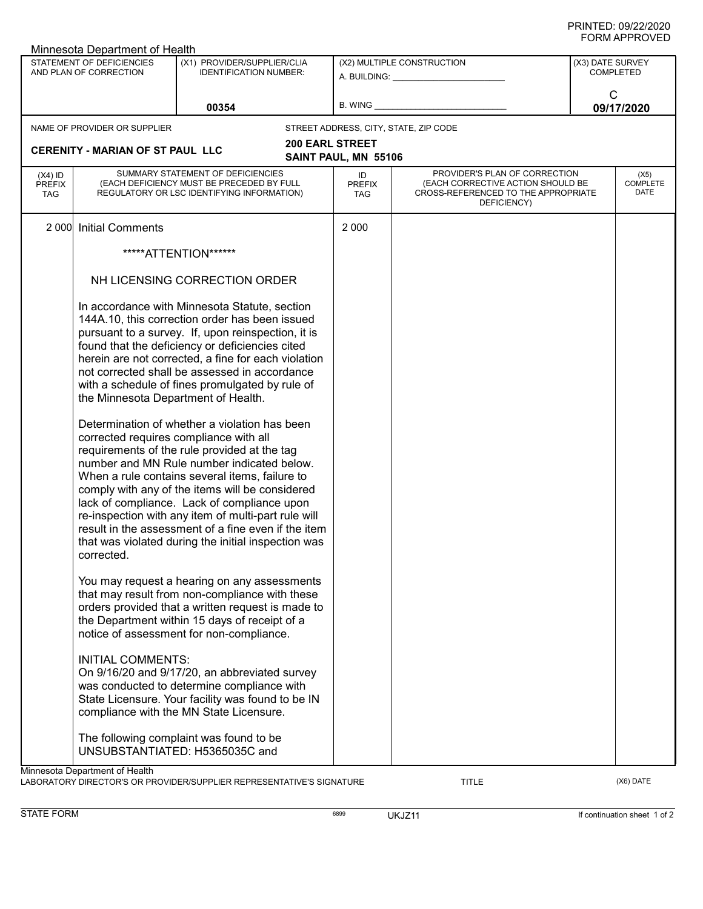| Minnesota Department of Health                      |                                                                                                                                                                                                                                                                                                                                                                                                                                                                                                                                                       |                                                                                                                                                                                                                                                                                                                                                                     |                                                         |                                                                                                                          |                                      |                                 |  |  |
|-----------------------------------------------------|-------------------------------------------------------------------------------------------------------------------------------------------------------------------------------------------------------------------------------------------------------------------------------------------------------------------------------------------------------------------------------------------------------------------------------------------------------------------------------------------------------------------------------------------------------|---------------------------------------------------------------------------------------------------------------------------------------------------------------------------------------------------------------------------------------------------------------------------------------------------------------------------------------------------------------------|---------------------------------------------------------|--------------------------------------------------------------------------------------------------------------------------|--------------------------------------|---------------------------------|--|--|
| STATEMENT OF DEFICIENCIES<br>AND PLAN OF CORRECTION |                                                                                                                                                                                                                                                                                                                                                                                                                                                                                                                                                       | (X1) PROVIDER/SUPPLIER/CLIA<br><b>IDENTIFICATION NUMBER:</b>                                                                                                                                                                                                                                                                                                        | (X2) MULTIPLE CONSTRUCTION<br>A. BUILDING: A. BUILDING: |                                                                                                                          | (X3) DATE SURVEY<br><b>COMPLETED</b> |                                 |  |  |
|                                                     |                                                                                                                                                                                                                                                                                                                                                                                                                                                                                                                                                       | 00354                                                                                                                                                                                                                                                                                                                                                               | B. WING                                                 |                                                                                                                          | C                                    | 09/17/2020                      |  |  |
|                                                     | NAME OF PROVIDER OR SUPPLIER                                                                                                                                                                                                                                                                                                                                                                                                                                                                                                                          |                                                                                                                                                                                                                                                                                                                                                                     |                                                         | STREET ADDRESS, CITY, STATE, ZIP CODE                                                                                    |                                      |                                 |  |  |
|                                                     | <b>CERENITY - MARIAN OF ST PAUL LLC</b>                                                                                                                                                                                                                                                                                                                                                                                                                                                                                                               |                                                                                                                                                                                                                                                                                                                                                                     | <b>200 EARL STREET</b><br>SAINT PAUL, MN 55106          |                                                                                                                          |                                      |                                 |  |  |
| $(X4)$ ID<br><b>PREFIX</b><br><b>TAG</b>            |                                                                                                                                                                                                                                                                                                                                                                                                                                                                                                                                                       | SUMMARY STATEMENT OF DEFICIENCIES<br>(EACH DEFICIENCY MUST BE PRECEDED BY FULL<br>REGULATORY OR LSC IDENTIFYING INFORMATION)                                                                                                                                                                                                                                        | ID<br><b>PREFIX</b><br><b>TAG</b>                       | PROVIDER'S PLAN OF CORRECTION<br>(EACH CORRECTIVE ACTION SHOULD BE<br>CROSS-REFERENCED TO THE APPROPRIATE<br>DEFICIENCY) |                                      | (X5)<br><b>COMPLETE</b><br>DATE |  |  |
| 2 0 0 0                                             | <b>Initial Comments</b>                                                                                                                                                                                                                                                                                                                                                                                                                                                                                                                               |                                                                                                                                                                                                                                                                                                                                                                     | 2 0 0 0                                                 |                                                                                                                          |                                      |                                 |  |  |
|                                                     |                                                                                                                                                                                                                                                                                                                                                                                                                                                                                                                                                       | *****ATTENTION******                                                                                                                                                                                                                                                                                                                                                |                                                         |                                                                                                                          |                                      |                                 |  |  |
|                                                     |                                                                                                                                                                                                                                                                                                                                                                                                                                                                                                                                                       | NH LICENSING CORRECTION ORDER                                                                                                                                                                                                                                                                                                                                       |                                                         |                                                                                                                          |                                      |                                 |  |  |
|                                                     | In accordance with Minnesota Statute, section<br>144A.10, this correction order has been issued<br>pursuant to a survey. If, upon reinspection, it is<br>found that the deficiency or deficiencies cited<br>herein are not corrected, a fine for each violation<br>not corrected shall be assessed in accordance<br>with a schedule of fines promulgated by rule of<br>the Minnesota Department of Health.<br>Determination of whether a violation has been<br>corrected requires compliance with all<br>requirements of the rule provided at the tag |                                                                                                                                                                                                                                                                                                                                                                     |                                                         |                                                                                                                          |                                      |                                 |  |  |
|                                                     | corrected.                                                                                                                                                                                                                                                                                                                                                                                                                                                                                                                                            | number and MN Rule number indicated below.<br>When a rule contains several items, failure to<br>comply with any of the items will be considered<br>lack of compliance. Lack of compliance upon<br>re-inspection with any item of multi-part rule will<br>result in the assessment of a fine even if the item<br>that was violated during the initial inspection was |                                                         |                                                                                                                          |                                      |                                 |  |  |
|                                                     |                                                                                                                                                                                                                                                                                                                                                                                                                                                                                                                                                       | You may request a hearing on any assessments<br>that may result from non-compliance with these<br>orders provided that a written request is made to<br>the Department within 15 days of receipt of a<br>notice of assessment for non-compliance.                                                                                                                    |                                                         |                                                                                                                          |                                      |                                 |  |  |
|                                                     | <b>INITIAL COMMENTS:</b>                                                                                                                                                                                                                                                                                                                                                                                                                                                                                                                              | On 9/16/20 and 9/17/20, an abbreviated survey<br>was conducted to determine compliance with<br>State Licensure. Your facility was found to be IN<br>compliance with the MN State Licensure.                                                                                                                                                                         |                                                         |                                                                                                                          |                                      |                                 |  |  |
|                                                     |                                                                                                                                                                                                                                                                                                                                                                                                                                                                                                                                                       | The following complaint was found to be<br>UNSUBSTANTIATED: H5365035C and                                                                                                                                                                                                                                                                                           |                                                         |                                                                                                                          |                                      |                                 |  |  |
|                                                     | Minnesota Department of Health                                                                                                                                                                                                                                                                                                                                                                                                                                                                                                                        |                                                                                                                                                                                                                                                                                                                                                                     |                                                         |                                                                                                                          |                                      |                                 |  |  |

LABORATORY DIRECTOR'S OR PROVIDER/SUPPLIER REPRESENTATIVE'S SIGNATURE TITLE TITLE (X6) DATE